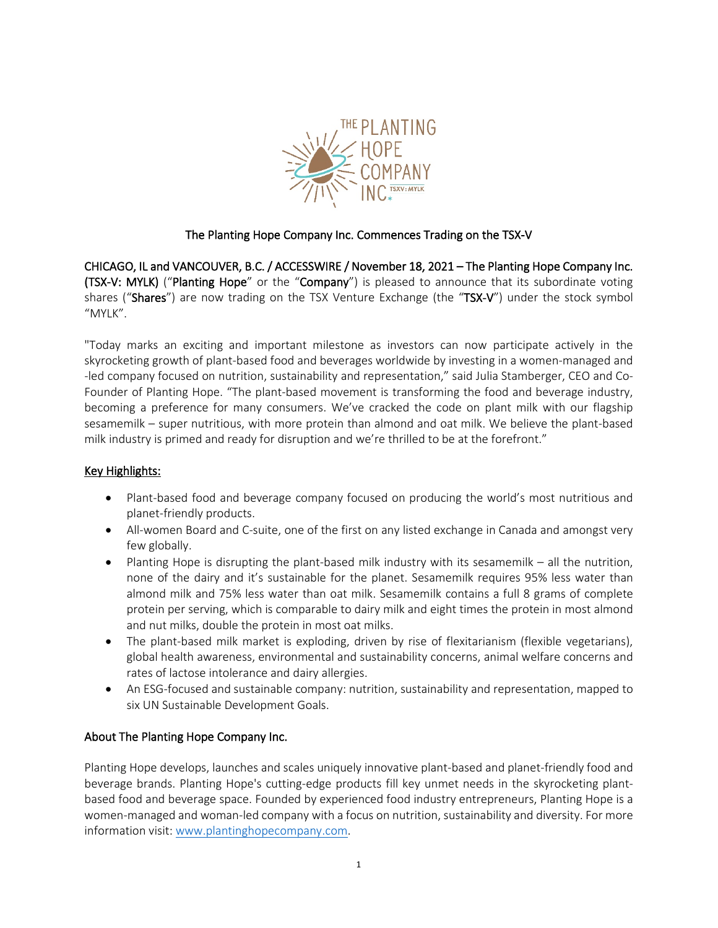

## The Planting Hope Company Inc. Commences Trading on the TSX-V

CHICAGO, IL and VANCOUVER, B.C. / ACCESSWIRE / November 18, 2021 – The Planting Hope Company Inc. (TSX-V: MYLK) ("Planting Hope" or the "Company") is pleased to announce that its subordinate voting shares ("Shares") are now trading on the TSX Venture Exchange (the "TSX-V") under the stock symbol "MYLK".

"Today marks an exciting and important milestone as investors can now participate actively in the skyrocketing growth of plant-based food and beverages worldwide by investing in a women-managed and -led company focused on nutrition, sustainability and representation," said Julia Stamberger, CEO and Co-Founder of Planting Hope. "The plant-based movement is transforming the food and beverage industry, becoming a preference for many consumers. We've cracked the code on plant milk with our flagship sesamemilk – super nutritious, with more protein than almond and oat milk. We believe the plant-based milk industry is primed and ready for disruption and we're thrilled to be at the forefront."

## Key Highlights:

- Plant-based food and beverage company focused on producing the world's most nutritious and planet-friendly products.
- All-women Board and C-suite, one of the first on any listed exchange in Canada and amongst very few globally.
- Planting Hope is disrupting the plant-based milk industry with its sesamemilk all the nutrition, none of the dairy and it's sustainable for the planet. Sesamemilk requires 95% less water than almond milk and 75% less water than oat milk. Sesamemilk contains a full 8 grams of complete protein per serving, which is comparable to dairy milk and eight times the protein in most almond and nut milks, double the protein in most oat milks.
- The plant-based milk market is exploding, driven by rise of flexitarianism (flexible vegetarians), global health awareness, environmental and sustainability concerns, animal welfare concerns and rates of lactose intolerance and dairy allergies.
- An ESG-focused and sustainable company: nutrition, sustainability and representation, mapped to six UN Sustainable Development Goals.

## About The Planting Hope Company Inc.

Planting Hope develops, launches and scales uniquely innovative plant-based and planet-friendly food and beverage brands. Planting Hope's cutting-edge products fill key unmet needs in the skyrocketing plantbased food and beverage space. Founded by experienced food industry entrepreneurs, Planting Hope is a women-managed and woman-led company with a focus on nutrition, sustainability and diversity. For more information visit: [www.plantinghopecompany.com.](http://www.plantinghopecompany.com/)